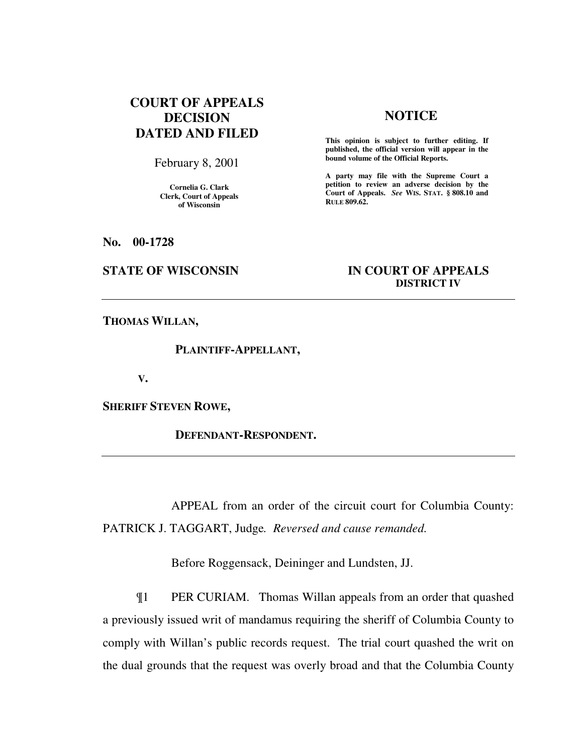# **COURT OF APPEALS DECISION DATED AND FILED**

February 8, 2001

**Cornelia G. Clark Clerk, Court of Appeals of Wisconsin** 

## **NOTICE**

**This opinion is subject to further editing. If published, the official version will appear in the bound volume of the Official Reports.**

**A party may file with the Supreme Court a petition to review an adverse decision by the Court of Appeals.** *See* **WIS. STAT. § 808.10 and RULE 809.62.** 

**No. 00-1728** 

### **STATE OF WISCONSIN IN COURT OF APPEALS DISTRICT IV**

**THOMAS WILLAN,** 

 **PLAINTIFF-APPELLANT,** 

 **V.** 

**SHERIFF STEVEN ROWE,** 

 **DEFENDANT-RESPONDENT.** 

APPEAL from an order of the circuit court for Columbia County: PATRICK J. TAGGART, Judge*. Reversed and cause remanded.*

Before Roggensack, Deininger and Lundsten, JJ.

¶1 PER CURIAM. Thomas Willan appeals from an order that quashed a previously issued writ of mandamus requiring the sheriff of Columbia County to comply with Willan's public records request. The trial court quashed the writ on the dual grounds that the request was overly broad and that the Columbia County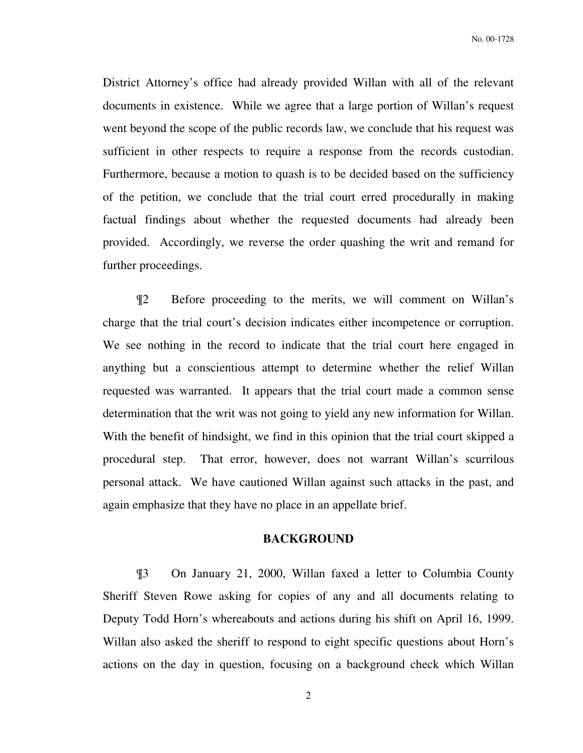District Attorney's office had already provided Willan with all of the relevant documents in existence. While we agree that a large portion of Willan's request went beyond the scope of the public records law, we conclude that his request was sufficient in other respects to require a response from the records custodian. Furthermore, because a motion to quash is to be decided based on the sufficiency of the petition, we conclude that the trial court erred procedurally in making factual findings about whether the requested documents had already been provided. Accordingly, we reverse the order quashing the writ and remand for further proceedings.

¶2 Before proceeding to the merits, we will comment on Willan's charge that the trial court's decision indicates either incompetence or corruption. We see nothing in the record to indicate that the trial court here engaged in anything but a conscientious attempt to determine whether the relief Willan requested was warranted. It appears that the trial court made a common sense determination that the writ was not going to yield any new information for Willan. With the benefit of hindsight, we find in this opinion that the trial court skipped a procedural step. That error, however, does not warrant Willan's scurrilous personal attack. We have cautioned Willan against such attacks in the past, and again emphasize that they have no place in an appellate brief.

### **BACKGROUND**

¶3 On January 21, 2000, Willan faxed a letter to Columbia County Sheriff Steven Rowe asking for copies of any and all documents relating to Deputy Todd Horn's whereabouts and actions during his shift on April 16, 1999. Willan also asked the sheriff to respond to eight specific questions about Horn's actions on the day in question, focusing on a background check which Willan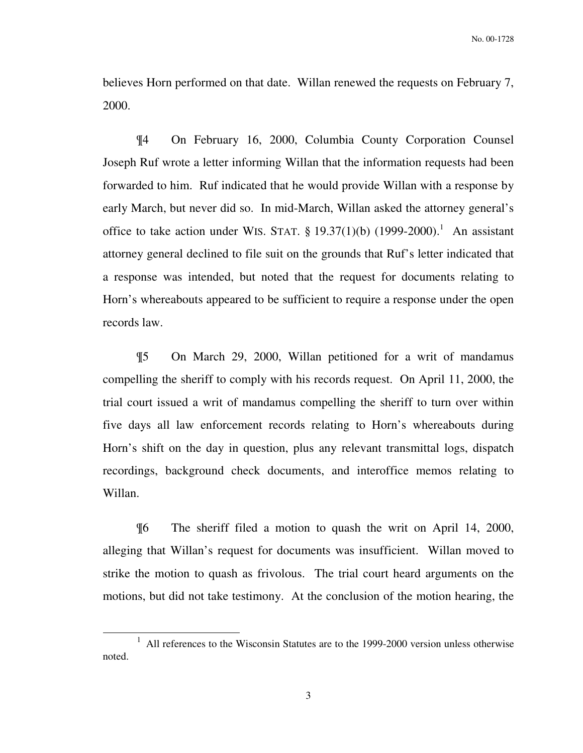believes Horn performed on that date. Willan renewed the requests on February 7, 2000.

¶4 On February 16, 2000, Columbia County Corporation Counsel Joseph Ruf wrote a letter informing Willan that the information requests had been forwarded to him. Ruf indicated that he would provide Willan with a response by early March, but never did so. In mid-March, Willan asked the attorney general's office to take action under WIS. STAT.  $\S 19.37(1)(b)$  (1999-2000).<sup>1</sup> An assistant attorney general declined to file suit on the grounds that Ruf's letter indicated that a response was intended, but noted that the request for documents relating to Horn's whereabouts appeared to be sufficient to require a response under the open records law.

¶5 On March 29, 2000, Willan petitioned for a writ of mandamus compelling the sheriff to comply with his records request. On April 11, 2000, the trial court issued a writ of mandamus compelling the sheriff to turn over within five days all law enforcement records relating to Horn's whereabouts during Horn's shift on the day in question, plus any relevant transmittal logs, dispatch recordings, background check documents, and interoffice memos relating to Willan.

¶6 The sheriff filed a motion to quash the writ on April 14, 2000, alleging that Willan's request for documents was insufficient. Willan moved to strike the motion to quash as frivolous. The trial court heard arguments on the motions, but did not take testimony. At the conclusion of the motion hearing, the

-

<sup>1</sup> All references to the Wisconsin Statutes are to the 1999-2000 version unless otherwise noted.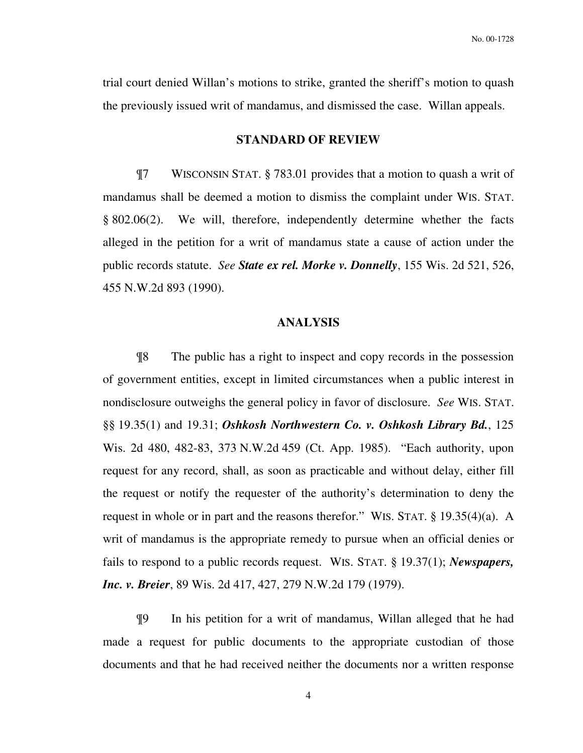trial court denied Willan's motions to strike, granted the sheriff's motion to quash the previously issued writ of mandamus, and dismissed the case. Willan appeals.

#### **STANDARD OF REVIEW**

¶7 WISCONSIN STAT. § 783.01 provides that a motion to quash a writ of mandamus shall be deemed a motion to dismiss the complaint under WIS. STAT. § 802.06(2). We will, therefore, independently determine whether the facts alleged in the petition for a writ of mandamus state a cause of action under the public records statute. *See State ex rel. Morke v. Donnelly*, 155 Wis. 2d 521, 526, 455 N.W.2d 893 (1990).

#### **ANALYSIS**

¶8 The public has a right to inspect and copy records in the possession of government entities, except in limited circumstances when a public interest in nondisclosure outweighs the general policy in favor of disclosure. *See* WIS. STAT. §§ 19.35(1) and 19.31; *Oshkosh Northwestern Co. v. Oshkosh Library Bd.*, 125 Wis. 2d 480, 482-83, 373 N.W.2d 459 (Ct. App. 1985). "Each authority, upon request for any record, shall, as soon as practicable and without delay, either fill the request or notify the requester of the authority's determination to deny the request in whole or in part and the reasons therefor." WIS. STAT. § 19.35(4)(a). A writ of mandamus is the appropriate remedy to pursue when an official denies or fails to respond to a public records request. WIS. STAT. § 19.37(1); *Newspapers, Inc. v. Breier*, 89 Wis. 2d 417, 427, 279 N.W.2d 179 (1979).

¶9 In his petition for a writ of mandamus, Willan alleged that he had made a request for public documents to the appropriate custodian of those documents and that he had received neither the documents nor a written response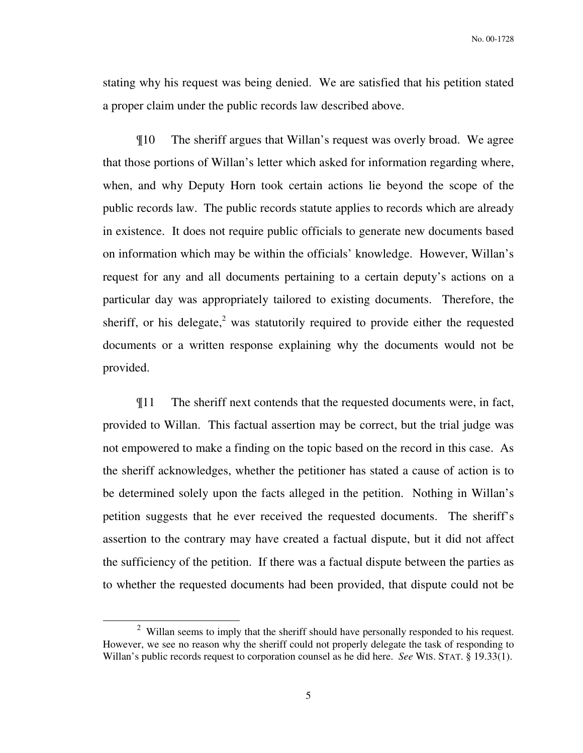No. 00-1728

stating why his request was being denied. We are satisfied that his petition stated a proper claim under the public records law described above.

¶10 The sheriff argues that Willan's request was overly broad. We agree that those portions of Willan's letter which asked for information regarding where, when, and why Deputy Horn took certain actions lie beyond the scope of the public records law. The public records statute applies to records which are already in existence. It does not require public officials to generate new documents based on information which may be within the officials' knowledge. However, Willan's request for any and all documents pertaining to a certain deputy's actions on a particular day was appropriately tailored to existing documents. Therefore, the sheriff, or his delegate, $2$  was statutorily required to provide either the requested documents or a written response explaining why the documents would not be provided.

¶11 The sheriff next contends that the requested documents were, in fact, provided to Willan. This factual assertion may be correct, but the trial judge was not empowered to make a finding on the topic based on the record in this case. As the sheriff acknowledges, whether the petitioner has stated a cause of action is to be determined solely upon the facts alleged in the petition. Nothing in Willan's petition suggests that he ever received the requested documents. The sheriff's assertion to the contrary may have created a factual dispute, but it did not affect the sufficiency of the petition. If there was a factual dispute between the parties as to whether the requested documents had been provided, that dispute could not be

j

 $2$  Willan seems to imply that the sheriff should have personally responded to his request. However, we see no reason why the sheriff could not properly delegate the task of responding to Willan's public records request to corporation counsel as he did here. *See* WIS. STAT. § 19.33(1).